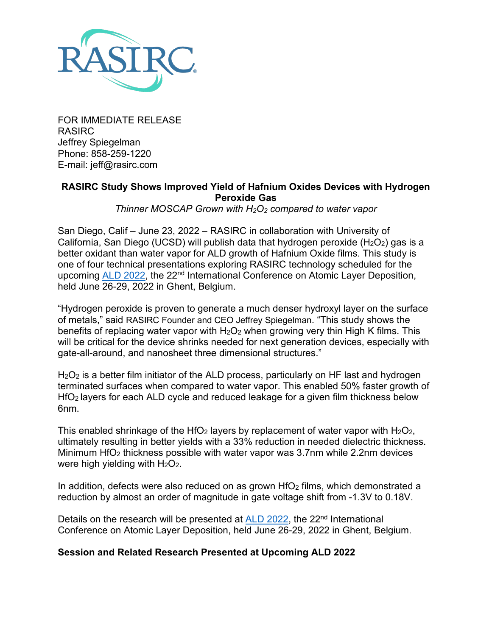

FOR IMMEDIATE RELEASE RASIRC Jeffrey Spiegelman Phone: 858-259-1220 E-mail: jeff@rasirc.com

#### **RASIRC Study Shows Improved Yield of Hafnium Oxides Devices with Hydrogen Peroxide Gas**

*Thinner MOSCAP Grown with H2O2 compared to water vapor*

San Diego, Calif – June 23, 2022 – RASIRC in collaboration with University of California, San Diego (UCSD) will publish data that hydrogen peroxide ( $H_2O_2$ ) gas is a better oxidant than water vapor for ALD growth of Hafnium Oxide films. This study is one of four technical presentations exploring RASIRC technology scheduled for the upcoming [ALD 2022,](https://ald2022.avs.org/) the 22<sup>nd</sup> International Conference on Atomic Layer Deposition, held June 26-29, 2022 in Ghent, Belgium.

"Hydrogen peroxide is proven to generate a much denser hydroxyl layer on the surface of metals," said RASIRC Founder and CEO Jeffrey Spiegelman. "This study shows the benefits of replacing water vapor with H<sub>2</sub>O<sub>2</sub> when growing very thin High K films. This will be critical for the device shrinks needed for next generation devices, especially with gate-all-around, and nanosheet three dimensional structures."

H<sub>2</sub>O<sub>2</sub> is a better film initiator of the ALD process, particularly on HF last and hydrogen terminated surfaces when compared to water vapor. This enabled 50% faster growth of HfO2 layers for each ALD cycle and reduced leakage for a given film thickness below 6nm.

This enabled shrinkage of the HfO<sub>2</sub> layers by replacement of water vapor with  $H_2O_2$ , ultimately resulting in better yields with a 33% reduction in needed dielectric thickness. Minimum HfO2 thickness possible with water vapor was 3.7nm while 2.2nm devices were high yielding with  $H_2O_2$ .

In addition, defects were also reduced on as grown  $HfO<sub>2</sub>$  films, which demonstrated a reduction by almost an order of magnitude in gate voltage shift from -1.3V to 0.18V.

Details on the research will be presented at [ALD 2022,](https://ald2022.avs.org/) the 22<sup>nd</sup> International Conference on Atomic Layer Deposition, held June 26-29, 2022 in Ghent, Belgium.

## **Session and Related Research Presented at Upcoming ALD 2022**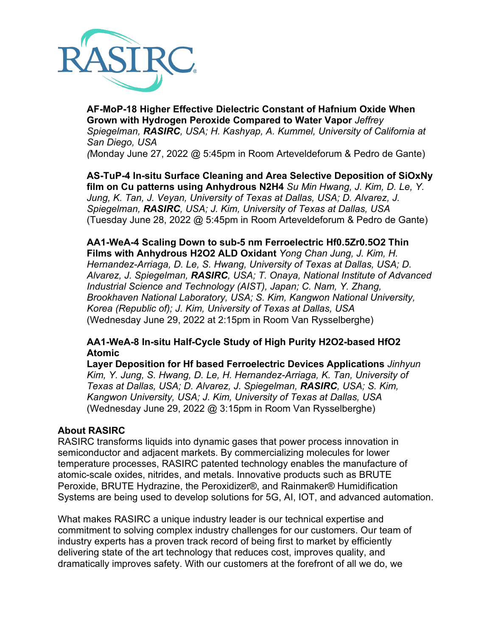

**AF-MoP-18 Higher Effective Dielectric Constant of Hafnium Oxide When Grown with Hydrogen Peroxide Compared to Water Vapor** *Jeffrey Spiegelman, RASIRC, USA; H. Kashyap, A. Kummel, University of California at San Diego, USA (*Monday June 27, 2022 @ 5:45pm in Room Arteveldeforum & Pedro de Gante)

**AS-TuP-4 In-situ Surface Cleaning and Area Selective Deposition of SiOxNy film on Cu patterns using Anhydrous N2H4** *Su Min Hwang, J. Kim, D. Le, Y. Jung, K. Tan, J. Veyan, University of Texas at Dallas, USA; D. Alvarez, J. Spiegelman, RASIRC, USA; J. Kim, University of Texas at Dallas, USA* (Tuesday June 28, 2022 @ 5:45pm in Room Arteveldeforum & Pedro de Gante)

**AA1-WeA-4 Scaling Down to sub-5 nm Ferroelectric Hf0.5Zr0.5O2 Thin Films with Anhydrous H2O2 ALD Oxidant** *Yong Chan Jung, J. Kim, H. Hernandez-Arriaga, D. Le, S. Hwang, University of Texas at Dallas, USA; D. Alvarez, J. Spiegelman, RASIRC, USA; T. Onaya, National Institute of Advanced Industrial Science and Technology (AIST), Japan; C. Nam, Y. Zhang, Brookhaven National Laboratory, USA; S. Kim, Kangwon National University, Korea (Republic of); J. Kim, University of Texas at Dallas, USA* (Wednesday June 29, 2022 at 2:15pm in Room Van Rysselberghe)

## **AA1-WeA-8 In-situ Half-Cycle Study of High Purity H2O2-based HfO2 Atomic**

**Layer Deposition for Hf based Ferroelectric Devices Applications** *Jinhyun Kim, Y. Jung, S. Hwang, D. Le, H. Hernandez-Arriaga, K. Tan, University of Texas at Dallas, USA; D. Alvarez, J. Spiegelman, RASIRC, USA; S. Kim, Kangwon University, USA; J. Kim, University of Texas at Dallas, USA* (Wednesday June 29, 2022 @ 3:15pm in Room Van Rysselberghe)

#### **About RASIRC**

RASIRC transforms liquids into dynamic gases that power process innovation in semiconductor and adjacent markets. By commercializing molecules for lower temperature processes, RASIRC patented technology enables the manufacture of atomic-scale oxides, nitrides, and metals. Innovative products such as BRUTE Peroxide, BRUTE Hydrazine, the Peroxidizer®, and Rainmaker® Humidification Systems are being used to develop solutions for 5G, AI, IOT, and advanced automation.

What makes RASIRC a unique industry leader is our technical expertise and commitment to solving complex industry challenges for our customers. Our team of industry experts has a proven track record of being first to market by efficiently delivering state of the art technology that reduces cost, improves quality, and dramatically improves safety. With our customers at the forefront of all we do, we